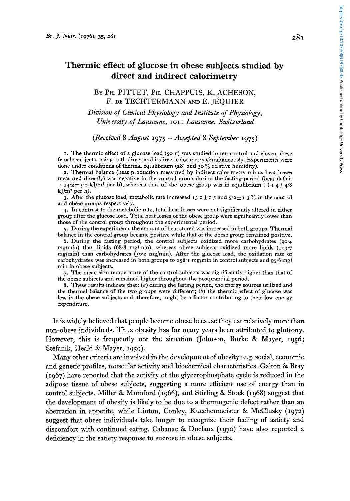# **Thermic effect of glucose in obese subjects studied by direct and indirect calorimetry**

BY PH. PITTET, PH. CHAPPUIS, K. ACHESON, F. DE TECHTERMANN **AND** E. JGQUIER

*Division of Clinical Physiology and Institute of Physiology, University of Lausanne,* **I 01 I** *Lausanne, Switzerland* 

### *(Received* **8** *August* **1975** - *Accepted* **8** *September* **1975)**

**I.** The thermic effect of a glucose load *(50* g) was studied in ten control and eleven obese female subjects, using both direct and indirect calorimetry simultaneously. Experiments were done under conditions of thermal equilibrium (28° and 30% relative humidity).

**2.** Thermal balance (heat production measured by indirect calorimetry minus heat losses measured directly) was negative in the control group during the fasting period (heat deficit  $-14.2 \pm 5.0$  kJ/m<sup>2</sup> per h), whereas that of the obese group was in equilibrium ( $+1.4 \pm 4.8$ kJ/ $m^2$  per h).

**3.** After the glucose load, metabolic rate increased  $\mathbf{13.0} \pm \mathbf{1.5}$  and  $\mathbf{5.2} \pm \mathbf{1.3}$  % in the control and obese groups respectively.

**4.** In contrast to the metabolic rate, total heat losses were not significantly altered in either group after the glucose load. Total heat losses of the obese group were significantly lower than those of the control group throughout the experimental period.

*5.* During the experiments the amount of heat stored was increased in both groups. Thermal balance in the control group became positive while that of the obese group remained positive.

**6.** During the fasting period, the control subjects oxidized more carbohydrates **(90.4**  mglmin) than lipids (68.8 mglmin), whereas obese subjects oxidized more lipids **(103.7**  mglmin) than carbohydrates *(50.2* mg/min). After the glucose load, the oxidation rate of carbohydrates was increased in both groups to **158-1** mg/min in control subjects **and** *95-6* mg/ min in obese subjects.

**7.** The mean skin temperature of the control subjects was significantly higher than that of the obese subjects and remained higher throughout the postprandial period.

**8.** These results indicate that: *(a)* during the fasting period, the energy sources utilized and the thermal balance of the two groups were different; *(b)* the thermic effect of glucose was less in the obese subjects and, therefore, might be a factor contributing to their low energy expenditure.

It is widely believed that people become obese because they eat relatively more than non-obese individuals. Thus obesity has for many years been attributed to gluttony.. However, this is frequently not the situation (Johnson, Burke & Mayer, **1956;**  Stefanik, Heald & Mayer, **1959).** 

Many other criteria are involved in the development of obesity: e.g. social, economic and genetic profiles, muscular activity and biochemical characteristics. Galton & Bray **(1967)** have reported that the activity of the glycerophosphate cycle is reduced in the adipose tissue of obese subjects, suggesting a more efficient use of energy than in control subjects. Miller & Mumford **(1966),** and Stirling & Stock **(1968)** suggest that the development of obesity is likely to be due to a thermogenic defect rather than an aberration in appetite, while Linton, Conley, Kuechenmeister & McClusky **(1972)**  suggest that obese individuals take longer to recognize their feeling of satiety and discomfort with continued eating. Cabanac & Duclaux **(1970)** have also reported a deficiency in the satiety response to sucrose in obese subjects.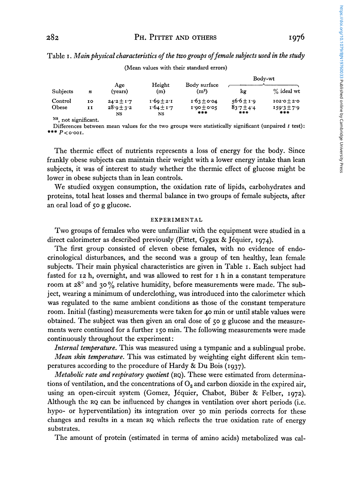|--|--|

Body-wt Age Height Body surface **A A A A**  $\frac{1}{2}$  **A**  $\frac{1}{2}$  **A**  $\frac{1}{2}$  **A**  $\frac{1}{2}$  **A**  $\frac{1}{2}$  **A**  $\frac{1}{2}$  **A**  $\frac{1}{2}$  **A**  $\frac{1}{2}$  **A**  $\frac{1}{2}$  **A**  $\frac{1}{2}$  **A**  $\frac{1}{2}$  **A**  $\frac{1}{2}$  **A**  $\frac{1}{2}$  **A** Subjects *n* (years) (m)  $(m^2)$  kg  $\frac{N}{2}$  ideal wt Control 10  $24.2 \pm 1.7$   $1.69 \pm 2.1$   $1.63 \pm 0.04$   $56.6 \pm 1.9$   $102.0 \pm 2.0$ Obese **II**  $28.9 \pm 3.2$  **1.64**  $\pm 1.7$  **1.90** $\pm$  **0.05 83.7** $\pm 4.4$  **1.59.3** $\pm 7.9$ 

Table I. *Main physical characteristics of the two groups of female subjects used in the study*  (Mean values with their standard errors)

**Ns,** not significant.

Differences between mean values for the two groups were statistically significant (unpaired *t* test) : \*\*\*  $P$ < o.001.

*#X+ XI\** \*++ **NS NS** 

The thermic effect of nutrients represents a loss of energy for the body. Since frankly obese subjects can maintain their weight with a lower energy intake than lean subjects, it was of interest to study whether the thermic effect of glucose might be lower in obese subjects than in lean controls.

We studied oxygen consumption, the oxidation rate of lipids, carbohydrates and proteins, total heat losses and thermal balance in two groups of female subjects, after an oral load of *50* g glucose.

#### EXPERIMENTAL

Two groups of females who were unfamiliar with the equipment were studied in a direct calorimeter as described previously (Pittet, Gygax & Jéquier, 1974).

The first group consisted of eleven obese females, with no evidence **of** endocrinological disturbances, and the second was a group of ten healthy, lean female subjects. Their main physical characteristics are given in Table I. Each subject had fasted for 12 h, overnight, and was allowed to rest for I h in a constant temperature room at **28"** and 30 *yo* relative humidity, before measurements were made. The subject, wearing a minimum of underclothing, was introduced into the calorimeter which was regulated to the same ambient conditions as those of the constant temperature room. Initial (fasting) measurements were taken for **40** min or until stable values were obtained. The subject was then given an oral dose of 50 g glucose and the measurements were continued for a further **150** min. The following measurements were made continuously throughout the experiment:

*Internal temperature.* This was measured using a tympanic and a sublingual probe. *Mean skin temperature.* This was estimated by weighting eight different skin temperatures according to the procedure of Hardy & Du Bois (1937).

*Metabolic rate and respiratory quotient* (RQ). These were estimated from determinations of ventilation, and the concentrations of *0,* and carbon dioxide in the expired air, using an open-circuit system (Gomez, Jéquier, Chabot, Büber & Felber, 1972). Although the RQ can be influenced by changes in ventilation over short periods (i.e. hypo- or hyperventilation) its integration over 30 min periods corrects for these changes and results in a mean RQ which reflects the true oxidation rate of energy substrates.

The amount of protein (estimated in terms of amino acids) metabolized was cal-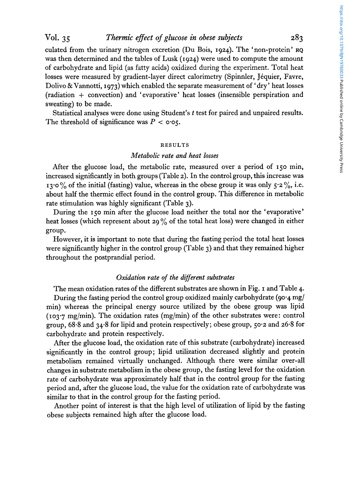culated from the urinary nitrogen excretion (Du Bois, **1924).** The 'non-protein' **RQ**  was then determined and the tables of Lusk **(1924)** were used to compute the amount of carbohydrate and lipid (as fatty acids) oxidized during the experiment. Total heat losses were measured by gradient-layer direct calorimetry (Spinnler, Jéquier, Favre, Dolivo & Vannotti, **1973)** which enabled the separate measurement of ' dry ' heat losses (radiation + convection) and ' evaporative ' heat losses (insensible perspiration and sweating) to be made.

Statistical analyses were done using Student's *t* test for paired and unpaired results. The threshold of significance was  $P < 0.05$ .

#### RESULTS

### *Metabolic rate and heat losses*

After the glucose load, the metabolic rate, measured over a period of **150** min, increased significantly in both groups (Table *2).* In the control group, this increase was **13.0** % of the initial (fasting) value, whereas in the obese group it was only *5.2* %, i.e. about half the thermic effect found in the control group. This difference in metabolic rate stimulation was highly significant (Table **3).** 

During the **150** min after the glucose load neither the total nor the 'evaporative' heat losses (which represent about **29** % of the total heat loss) were changed in either group.

However, it is important to note that during the fasting period the total heat losses were significantly higher in the control group (Table **3)** and that they remained higher throughout the postprandial period.

### $Ox$ *idation rate of the different substrates*

The mean oxidation rates of the different substrates are shown in Fig. **I** and Table **4.**  During the fasting period the control group oxidized mainly carbohydrate **(90.4** mg/ min) whereas the principal energy source utilized by the obese group was lipid (103.7 mg/min). The oxidation rates (mg/min) of the other substrates were: control group, 68.8 and **34.8** for lipid and protein respectively; obese group, *50.2* and **26.8** for carbohydrate and protein respectively.

After the glucose load, the oxidation rate of this substrate (carbohydrate) increased significantly in the control group; lipid utilization decreased slightly and protein metabolism remained virtually unchanged. Although there were similar over-all changes in substrate metabolism in the obese group, the fasting level for the oxidation rate of carbohydrate was approximately half that in the control group for the fasting period and, after the glucose load, the value for the oxidation rate of carbohydrate was similar to that in the control group for the fasting period.

Another point of interest is that the high level of utilization of lipid by the fasting obese subjects remained high after the glucose load.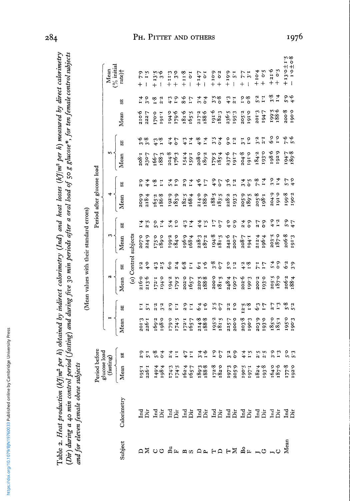| i<br>d |
|--------|
| ֕      |
| ı<br>l |
| j      |
|        |
| l      |
|        |
| ׇ֘֝֡   |
|        |

Table 2. Heat production (k $3/m^2$  per h) obtained by indirect calorimetry (Ind) and heat losses (k $3/m^2$  per h) measured by direct calorimetry (Dir) during a 40 min control period (fasting) and during five 30 min periods after a oral load of 50 g glucose\*, for ten female control subjects and for eleven female obese subjects

|                                                                |                                  |                                            |                               |                                                               |                    |                                        |                         | Mean values with their standard errors)   |                               |                           |                               |                                                                  |                                           |                |                                |                                |
|----------------------------------------------------------------|----------------------------------|--------------------------------------------|-------------------------------|---------------------------------------------------------------|--------------------|----------------------------------------|-------------------------|-------------------------------------------|-------------------------------|---------------------------|-------------------------------|------------------------------------------------------------------|-------------------------------------------|----------------|--------------------------------|--------------------------------|
|                                                                |                                  |                                            |                               |                                                               |                    |                                        |                         |                                           |                               | Period after glucose load |                               |                                                                  |                                           |                |                                |                                |
|                                                                |                                  | Period before<br>glucose load<br>(fasting) |                               |                                                               |                    |                                        |                         |                                           |                               |                           |                               |                                                                  |                                           |                |                                | Mean<br>$\binom{9}{6}$ initial |
| Subject                                                        | Calorimetry                      | Mean                                       | 53                            | Mean                                                          | $\mathbb{S}^2$     | Mean                                   | $\overline{\mathbf{E}}$ | Mean                                      | 55                            | Mean                      | 55                            | Mean                                                             | 5E                                        | Mean           | 53                             | rate)†                         |
|                                                                |                                  |                                            |                               |                                                               |                    |                                        |                         | (a) Control subjects                      |                               |                           |                               |                                                                  |                                           |                |                                |                                |
|                                                                |                                  |                                            |                               |                                                               |                    |                                        |                         |                                           |                               |                           |                               | 208.1<br>230.7                                                   | نې نې<br>نو ن                             | 210.6          |                                | $+ 7.9$                        |
|                                                                |                                  |                                            | 2.5                           | 201'3<br>226'I                                                | 5.1                |                                        | $2.2$<br>4.0            | 2070<br>224'9                             |                               | 209.9<br>218.4            |                               |                                                                  |                                           | 222.7          | $\frac{1}{2}$                  |                                |
|                                                                |                                  |                                            |                               | 169.2<br>198.0                                                |                    | 0.1610<br>9.512<br>9.512<br>9.912      |                         |                                           |                               | $165.2$<br>$186.8$        | $\cdot \frac{8}{1}$           | 166.7<br>188.3                                                   | 4.3                                       | 0.041          | $\overline{1}$ .               | $+ 13.5$<br>$- 3.6$            |
|                                                                |                                  |                                            | $\frac{8}{10}$                |                                                               |                    |                                        |                         | 0.681<br>189.0                            |                               |                           | $\overline{1}$                |                                                                  |                                           | 1.161          |                                |                                |
|                                                                |                                  |                                            | $\frac{4}{10}$                |                                                               |                    |                                        |                         |                                           |                               |                           |                               |                                                                  |                                           |                |                                | $+11.3$                        |
|                                                                |                                  |                                            | H                             | 174.5                                                         | $\frac{5}{1.2}$    | 194.2<br>179.5                         |                         | 199.2<br>184.0                            | $\frac{1}{2}$ .9              | 192.9<br>183.9            | $\frac{4}{10}$ $\frac{9}{10}$ | 204.8<br>176.3                                                   | 4.4                                       | 9.641<br>179.6 |                                | $-5.5$                         |
|                                                                |                                  |                                            |                               |                                                               |                    |                                        | 6.8                     |                                           |                               |                           |                               |                                                                  |                                           |                | $\frac{6}{3}$                  | $+11.8$                        |
| <sub>es</sub><br>지 <mark>ひ니 ひ니 괴요 지</mark> 나 다니 4G co 파트 하이 지다 | 25 25 25 25 25 26 26 26 26 26 26 |                                            | $\frac{1}{4}$                 | $\begin{array}{c} 72.1 \\ 165.7 \\ 214.8 \\ 188. \end{array}$ | $\frac{5}{2}$ .z   | 2027<br>1657<br>2203<br>188            | $I \cdot I$             | 196.9<br>168:4<br>228:3<br>187:3<br>194.8 | $4.3$<br>$7.4$                | $182.5$<br>$168.4$        | $2.9$<br>1.4                  | 154.4<br>159.1                                                   | $\frac{4}{1}$<br>$\frac{1}{4}$            | 181.6          | $\mathcal{L} \cdot \mathbf{1}$ | $1.0 -$                        |
|                                                                |                                  |                                            |                               |                                                               | 6.4                |                                        | 6.7                     |                                           |                               |                           |                               | 208.0<br>189.2                                                   | 4.8                                       | 217.2<br>188.6 | 3.4                            | $+147$                         |
|                                                                |                                  |                                            | $\frac{4}{5.6}$               |                                                               |                    |                                        |                         |                                           | $4.550$<br>$4.750$            | 214.0<br>188.9            |                               |                                                                  |                                           |                | $\overline{6}$                 | $\ddot{\cdot}$                 |
|                                                                |                                  |                                            | $\mathbf{r} \cdot \mathbf{r}$ |                                                               |                    |                                        |                         |                                           |                               | $188.5$<br>$183.5$        |                               |                                                                  |                                           |                |                                |                                |
|                                                                |                                  |                                            | $\overline{5}$                | 195.2<br>181.5                                                | $3.5$<br>$0.7$     | 200.002                                | 3.8                     |                                           |                               |                           |                               | $179.5$<br>$185.4$                                               | $\frac{5}{3}$ $\frac{4}{1}$               | 1916<br>182.3  | $\frac{5}{3}$ .8               |                                |
|                                                                |                                  |                                            | 3.5                           |                                                               | 2.2                |                                        | $5^\circ$               | $242.6$<br>200.7                          |                               |                           | 3.5                           | 237.6<br>191.7                                                   |                                           | 236.5<br>195.3 | 4.3                            |                                |
|                                                                |                                  |                                            | $\frac{6}{3}$                 | 225.7<br>200.0                                                | $\overline{1}$     | 248.4<br>190.7                         | 1.5                     |                                           | $\frac{6}{9}$                 | 228.2<br>193.3            |                               |                                                                  | 0.2                                       |                | $\frac{1}{2}$                  |                                |
|                                                                |                                  |                                            |                               |                                                               |                    |                                        |                         | 1.961<br>L-802                            |                               |                           |                               | 204.8                                                            | $3.7$<br>$1.6$                            | 205.2<br>191.0 | $\frac{6}{3}$                  |                                |
|                                                                |                                  |                                            | $4 + 5$                       | 203.8                                                         | $\frac{12.5}{1.8}$ | $202.6$<br>190.3                       | $\frac{48}{18}$         |                                           | $\frac{4}{6}$ 3               | $205.9$<br>$189.5$        | $4.081$<br>$4.081$            |                                                                  |                                           |                |                                |                                |
|                                                                |                                  |                                            |                               |                                                               |                    |                                        |                         |                                           |                               | 205.8<br>198.1            |                               |                                                                  | $3^{2}$<br>$2^{1}$                        |                | $5.3$<br>1.1                   | $4 + 10.4$<br>+ 0.5            |
|                                                                |                                  |                                            |                               | 203.9<br>193.0                                                | $6 - 3$<br>$1 - 7$ | 200 <sup>-2</sup><br>193 <sup>-0</sup> | 7.1                     | 212.4                                     | 2.7                           |                           |                               |                                                                  |                                           | 201'3<br>194'7 |                                |                                |
|                                                                |                                  |                                            |                               |                                                               | 2.7                |                                        |                         |                                           |                               |                           |                               | $\begin{array}{c} 184.2 \\ 193.0 \\ 198.6 \\ \hline \end{array}$ | $\begin{array}{c} 0.5 \\ 0.5 \end{array}$ | 199.6<br>5.661 | 3.58                           | $+21.6$<br>+ 0.5               |
|                                                                |                                  |                                            | $\frac{3.3}{1.3}$             | $185.0$<br>$185.1$                                            | 1.3                | 205.5<br>187.0<br>206.24               | $\frac{4}{10}$ 0        | 203.5<br>187.0<br>206.3                   | $\frac{1}{2}$ . $\frac{1}{2}$ | 5.061<br>8.661<br>8.641   | 5.4                           |                                                                  |                                           |                |                                |                                |
|                                                                |                                  |                                            |                               |                                                               | رة بع<br>وي        |                                        | 6.2                     |                                           |                               |                           |                               | $6.681$<br>7.761                                                 | 6.6                                       | 200.8<br>190.0 |                                | $+13.0 \pm 1.5$<br>- 1.0 ± 0.8 |
|                                                                |                                  |                                            | 5.3<br>9. 9                   | 195.0<br>190.3                                                |                    |                                        |                         |                                           | 6.54                          |                           | $5.7$<br>4.0                  |                                                                  |                                           |                | $\frac{6}{3}$ .4               |                                |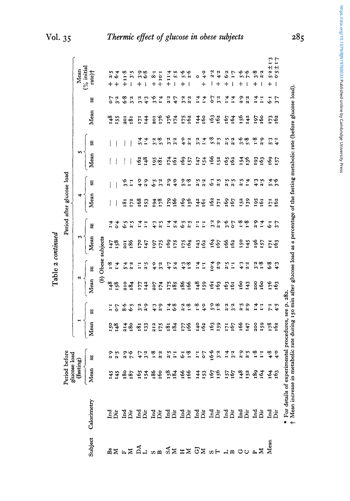|                                       |                                                                                                                                                                                                   | Period b<br>glucose | efore<br>load    |                 |                  |                  |                                            |            | Period after glucose load   |                  |                 |                 |               |            |                |                                                  |
|---------------------------------------|---------------------------------------------------------------------------------------------------------------------------------------------------------------------------------------------------|---------------------|------------------|-----------------|------------------|------------------|--------------------------------------------|------------|-----------------------------|------------------|-----------------|-----------------|---------------|------------|----------------|--------------------------------------------------|
|                                       |                                                                                                                                                                                                   | (fastin             | ିହା              |                 |                  | u                |                                            | z          |                             | 4                |                 |                 |               |            |                | $(%$ initial<br>Mean                             |
| Subject                               | Calorimetry                                                                                                                                                                                       | Mean                | 53               | Mean            | 55               | Mean             | 55                                         | Mean       | U)                          | Mean             | 52              | Mean            | 52            | Mean       | SE             | $\arctan$                                        |
|                                       |                                                                                                                                                                                                   |                     |                  |                 |                  | T                | Obese subjects                             |            |                             |                  |                 |                 |               |            |                |                                                  |
|                                       |                                                                                                                                                                                                   |                     | 2.5              |                 |                  | 148              | 5.6                                        | 147        |                             |                  |                 |                 |               | 348        |                | $+$                                              |
|                                       |                                                                                                                                                                                                   | 541                 | 2.5              | 551<br>148      |                  | 158              | $\ddot{ }$                                 | 551        | $\frac{4}{10}$              |                  |                 |                 |               | I55        |                | $\frac{3}{6}$<br>6 4<br>$+$                      |
|                                       |                                                                                                                                                                                                   |                     | $\frac{5}{2}$    | 214             | 8.6              | 210              | 5.4                                        | 201        | و.<br>م                     | 181              | $\frac{6}{3}$   |                 |               | Ioz        | 6.8            | $+11.8$                                          |
|                                       |                                                                                                                                                                                                   |                     | $\frac{6}{7}$    | 180             | $\ddot{\bullet}$ | 184              |                                            | 186        | 2.5                         | 172              | $\ddot{z}$      |                 |               | 181        | 3.2            | $\frac{5}{5}$<br>$\mathbf{I}$                    |
|                                       |                                                                                                                                                                                                   | 85 57<br>86 57      | 4.7              | 181             | 3.2              | 55               | ፤                                          | <b>P41</b> | $\mathbf{r}$                | $\frac{8}{2}$    | $\frac{6}{4}$   | 162             | ች<br>አ        | I7I        | 3.2            | $+$                                              |
|                                       |                                                                                                                                                                                                   |                     | 3.2              | I33             | 2.5              | $\frac{2}{4}$    |                                            | 47         | E                           | <b>ES3</b>       | 2.5             | 148             | 1.4           | 144        | 4.3            | ە بە<br>ۋە<br>$\mathbf{I}$                       |
|                                       |                                                                                                                                                                                                   | $\frac{86}{160}$    | $\frac{8}{1}$    | 212             |                  | 502              |                                            | 197        |                             |                  | 6.5             |                 |               | 2OI        | $\frac{6}{5}$  | $\overline{1.8}$<br>$\ddot{}$                    |
|                                       |                                                                                                                                                                                                   |                     | 2:2              | I75             | 2.9              | 174              |                                            | 175        | $\ddot{a}$                  | $\frac{54}{78}$  | 3.2             | 195<br>181      | 3.8           | <b>941</b> | $\ddot{r}$     | $1.01 +$                                         |
|                                       |                                                                                                                                                                                                   |                     | s.z              | 181             | 1.4              |                  |                                            | r69        | 1.4                         | 179              | 2.5             | 174             | $\tilde{z}$   | 576        | 2.2            | $+114$                                           |
|                                       |                                                                                                                                                                                                   | 154                 | $\mathbf{L}$     | 184             | 6.8              | I75<br>185       |                                            | 175        | 5.4                         | 166              | $\ddot{ }$      | 16 <sub>1</sub> | 3.2           | 174        | 4.7            | 5.5<br>$\mathbf{I}$                              |
|                                       |                                                                                                                                                                                                   | 566                 | $\ddot{\cdot}$   |                 |                  | 186              |                                            |            | $\frac{5}{9}$ $\frac{5}{9}$ | róg              |                 | έģ              | $\frac{6}{4}$ |            | 3.5            | م.<br>ته<br>┿                                    |
|                                       |                                                                                                                                                                                                   |                     | 1.8              | 177<br>166      | 2.8              | 166              | $\begin{array}{c} 7.8 \\ + .5 \end{array}$ | 175<br>164 |                             | 156              | 5.8             | 157             | 2.2           | 175<br>162 | 2:2            | $\frac{6}{3}$<br>I                               |
| -<br>여기 도시 서비 오늘 있는 그의 오늘 사업을 보내<br>- | <b>AA AA AA AA AA AA AA AA AA AA</b>                                                                                                                                                              |                     | $\mathbf{r}$     | 1402            | 1.8              | 148              | $\frac{4}{11}$                             | 143<br>162 | $\mathbf{r}$                | 142              | 2.5             | 147             | 3.4           | 144        | $\frac{4}{1}$  | Ō                                                |
|                                       |                                                                                                                                                                                                   |                     |                  |                 | 4.0              | 159              | $\mathbf{r}$                               |            | $\overline{1}$              | rói              | 2.2             | 154             |               | 160        | $\ddot{ }$     | $\frac{6}{4}$<br>$\ddot{+}$                      |
|                                       |                                                                                                                                                                                                   | 145<br>1971<br>1971 | 6.6              | 163             | ို               | rón              | 10.4                                       | 167        | 3.2                         | 162              | $6 - 1$         | 166             | 5.8           | 163        | c.7            | 2.2<br>I                                         |
|                                       |                                                                                                                                                                                                   |                     | 3.2              | 159             | $\frac{8}{1}$    | 163              | 2.9                                        |            | 2.5                         | 171              | 2.5             | 152             |               |            | 3.5            | 4.2<br>$^{+}$                                    |
|                                       |                                                                                                                                                                                                   |                     | 1.4              |                 | 2.2              | $\frac{63}{161}$ | $\frac{5}{1}$                              | 166        | 3.6                         | $\frac{16}{167}$ | 2.5             | 165<br>162      | 2.5           |            |                | $\ddot{\bm{s}}$<br>$\ddot{}$                     |
|                                       |                                                                                                                                                                                                   | 157<br>167          | 3.5              | 171<br>167      | 3.5              |                  |                                            | 162        | $\overline{c}$              |                  | 2.5             |                 | 2.2           | 167        | $\frac{4}{1}$  | L.1<br>ł                                         |
|                                       |                                                                                                                                                                                                   | 341                 |                  | 166             | 2.5              | τбο              | 4.3                                        | 150        | $\frac{8}{1}$               | 152              | 2.5             | 154             | $\frac{6}{5}$ | 56         | 2.9            | ې<br>$+$                                         |
|                                       |                                                                                                                                                                                                   | 152                 | $\frac{5}{2}$ .2 | 147             | 2.9              | 143              | 2.2                                        | 145        | $\frac{8}{1}$               | 139              | 1.4             | 136             | 5.8           | 142        | 2.2            | 76<br>1                                          |
|                                       |                                                                                                                                                                                                   | 364                 | $\ddot{.}3$      | 200             |                  | 200              |                                            | 196        | $\frac{6}{3}$               |                  | 4.3             | r93             | 5.1           | L61        |                | 3.8<br>$\ddag$                                   |
|                                       |                                                                                                                                                                                                   |                     | H                | I <sub>59</sub> | H                | ρģ               |                                            | 157        | $\mathbf{r}$                | 195<br>161       | 2.5             | ró3             | 2.5           | <b>S</b>   | $\mathbf{H}$   | 2.2                                              |
|                                       | ិ<br>ជីដ                                                                                                                                                                                          | 563                 | 4.8              | 178<br>162      |                  | ρL               |                                            | E,         |                             | Ę                |                 | έģ              | $5.3 + 1$     | r73<br>162 | $\ddot{\cdot}$ | $5.2 \pm 1.3$<br>0.5 $\pm$ 1.7<br>$\overline{+}$ |
|                                       |                                                                                                                                                                                                   |                     | $\frac{6}{4}$    |                 | 7:5              | r63              |                                            | r63        | $\ddot{5}$                  | 162              | <b>عدد</b><br>2 | 57              |               |            |                |                                                  |
|                                       | t Mean increase in metabolic rate during 150 min after glucose load as a percentage of the fasting metabolic rate (before glucose load).<br>* For details of experimental procedures, see p. 282. |                     |                  |                 |                  |                  |                                            |            |                             |                  |                 |                 |               |            |                |                                                  |
|                                       |                                                                                                                                                                                                   |                     |                  |                 |                  |                  |                                            |            |                             |                  |                 |                 |               |            |                |                                                  |

**Table 2** *continued*  Table 2 continued  $285$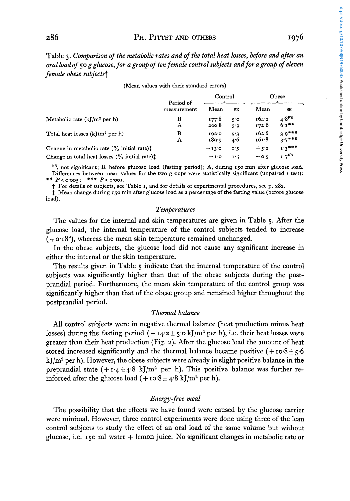## 286 PH. PITTET AND OTHERS **I976**

https://doi.org/10.1079/BJN19760033 Published online by Cambridge University Press https://doi.org/10.1079/BJN19760033 Published online by Cambridge University Press

Table *3. Comparison of the metabolic rates and of the total heat losses, before and after an oral loadof 50 g glucose, for a group of ten female control subjects and for a group of eleven female obese subjectst*  Figure 1.1 and of the total heat losses, before<br>
Figure 1.1 and the emails control subjects and for a group<br>  $\frac{P}{P}$ <br>
Period of<br>
Period of<br>
Mean SE Mean

|                                                                               | Period of   | Control            |            |                | Obese                         |
|-------------------------------------------------------------------------------|-------------|--------------------|------------|----------------|-------------------------------|
|                                                                               | measurement | Mean               | SE         | Mean           | SE                            |
| Metabolic rate $(k/m^2$ per h)                                                | в<br>А      | 177.8<br>$200 - 8$ | 5°<br>5.9  | 164:1<br>172.6 | 4.8 <sup>NS</sup><br>$6.1$ ** |
| Total heat losses $(kJ/m^2$ per h)                                            | в<br>A      | 102.0<br>189.9     | 5.3<br>4.6 | 162.6<br>161.8 | $3.9***$<br>$3.7***$          |
| Change in metabolic rate $(\%$ initial rate) <sup><math>\ddagger</math></sup> |             | $+13.0$            | 1.5        | $+5.2$         | $1.3***$                      |
| Change in total heat losses $\binom{0}{0}$ initial rate) <sup>†</sup>         |             | $-1$ <sup>o</sup>  | 1.5        | $-0.5$         | $1.7^{NS}$                    |

#### (Mean values with their standard errors)

**Ns,** not significant; B, before glucose load (fasting period); A, during 150 min after glucose load. Differences between mean values for the two groups were statistically significant (unpaired *t* test) : \*\*  $P < 0.005$ ; \*\*\*  $P < 0.001$ .

t For details of subjects, see Table I, and for details of experimental procedures, see p. 282.

1 Mean change during 150 min after glucose load as a percentage of the fasting value (before glucose load).

### *Temperatures*

The values for the internal and skin temperatures are given in Table *5.* After the glucose load, the internal temperature **of** the control subjects tended to increase  $(+o.18^\circ)$ , whereas the mean skin temperature remained unchanged.

In the obese subjects, the glucose load did not cause any significant increase in either the internal or the skin temperature.

The results given in Table *5* indicate that the internal temperature of the control subjects was significantly higher than that of the obese subjects during the postprandial period. Furthermore, the mean skin temperature **of** the control group **was**  significantly higher than that **of** the obese group and remained higher throughout the postprandial period.

### *Thermal balance*

All control subjects were in negative thermal balance (heat production minus heat losses) during the fasting period  $(-14.2 \pm 5.0 \text{ kJ/m}^2 \text{ per h})$ , i.e. their heat losses were greater than their heat production (Fig. *2).* After the glucose load the amount of heat stored increased significantly and the thermal balance became positive  $(+10.8 \pm 5.6)$  $kJ/m<sup>2</sup>$  per h). However, the obese subjects were already in slight positive balance in the preprandial state  $(+1.4 \pm 4.8 \text{ kJ/m}^2$  per h). This positive balance was further reinforced after the glucose load  $(+\text{10.8} \pm 4.8 \text{ kJ/m}^2 \text{ per h}).$ 

### *Energy-free meal*

The possibility that the effects we have found were caused by the glucose carrier were minimal. However, three control experiments were done using three of the lean control subjects to study the effect of an oral load **of** the same volume but without glucose, i.e. **150** ml water + lemon juice. No significant changes in metabolic rate or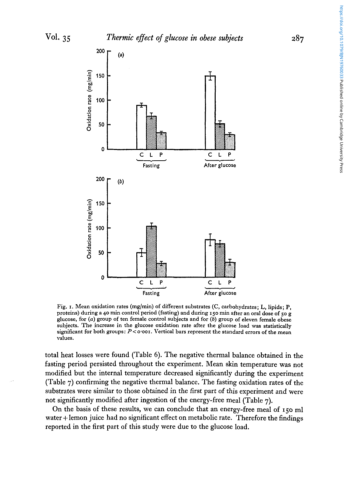

Fig. I. Mean oxidation rates (mglmin) of different substrates (C, carbohydrates; **L,** lipids; **P,**  proteins) during a **40** min control period (fasting) and during **150** min after an oral dose of 50 g glucose, for *(a)* group of ten female control subjects and for (b) group of eleven female obese subjects. The increase in the glucose oxidation rate after the glucose load was statistically significant for both groups:  $P$ < $\circ$  $\circ$  $\circ$ or. Vertical bars represent the standard errors of the mean values.

total heat losses were found (Table 6). The negative thermal balance obtained in the fasting period persisted throughout the experiment. Mean skin temperature was not modified but the internal temperature decreased significantly during the experiment (Table 7) confirming the negative thermal balance. The fasting oxidation rates of the substrates were similar to those obtained in the first part of this experiment and were not significantly modified after ingestion of the energy-free meal (Table 7).

On the basis of these results, we can conclude that an energy-free meal **of 150** ml water + lemon juice had no significant effect on metabolic rate. Therefore the findings reported in the first part of this study were due to the glucose load.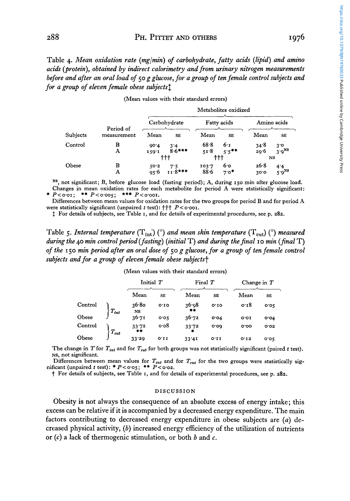Table **4.** *Mean oxidation rate (mgimin) of carbohydrate, fatty acih (lipid) and amino acids (protein), obtained by indirect calorimetry and from urinary nitrogen measurements before and after an oral load of 50 g glucose, for a group of ten female control subjects and for a group of eleven female obese subjectsf* 

|          | protein), obtained by indirect calorimetry and from urinary nitrogen measurements<br>and after an oral load of 50 g glucose, for a group of ten female control subjects and<br>roup of eleven female obese subjects <sup>†</sup> |                                                                |                                          |                                 |                          | 60033<br>Published online  |
|----------|----------------------------------------------------------------------------------------------------------------------------------------------------------------------------------------------------------------------------------|----------------------------------------------------------------|------------------------------------------|---------------------------------|--------------------------|----------------------------|
|          |                                                                                                                                                                                                                                  |                                                                | (Mean values with their standard errors) |                                 |                          |                            |
|          |                                                                                                                                                                                                                                  |                                                                | Metabolites oxidized                     |                                 |                          | ्र                         |
|          | Period of                                                                                                                                                                                                                        | Carbohydrate                                                   | Fatty acids                              |                                 | Amino acids              |                            |
| Subjects | measurement                                                                                                                                                                                                                      | Mean<br><b>SE</b>                                              | Mean                                     | Mean<br><b>SE</b>               | SE                       |                            |
| Control  | в<br>A                                                                                                                                                                                                                           | 90.4<br>3'4<br>$8.6***$<br>159.1<br>$^{\dagger\dagger\dagger}$ | 68.8<br>51.8<br>ተተተ                      | 6.1<br>34.8<br>$5.5***$<br>29.6 | 3.0<br>$3.9^{NS}$<br>NS. | Cambridge University Press |
| Obese    | в<br>Α                                                                                                                                                                                                                           | 50.2<br>$11.8***$<br>95.6                                      | 103.7<br>88.6                            | 26.8<br>6.0<br>*סי7<br>30.0     | 4.4<br>$5.9^{NS}$        |                            |

|  |  |  |  | (Mean values with their standard errors) |  |
|--|--|--|--|------------------------------------------|--|
|--|--|--|--|------------------------------------------|--|

**N8,** not significant; **B,** before glucose load (fasting period); **A,** during **150** min after glucose load. Changes in mean oxidation rates for each metabolite for period **A** were statistically significant: # **P<o.or;** \*\* **P<0.005;** *\*I\** **P<o.oor.** 

Differences between mean values for oxidation rates for the two groups for period B and for period **A**  were statistically significant (unpaired *t* test):  $\uparrow \uparrow \uparrow$  *P* < 0.001.

\$ For details of subjects, see Table **I,** and for details of experimental procedures, see p. *282.* 

Table 5. *Internal temperature*  $(T_{int})$  ( $^{\circ}$ ) *and mean skin temperature*  $(T_{cut})$  ( $^{\circ}$ ) *measured*<br>during the 40 min control period (fasting) (initial T) and during the final 10 min (final T)<br>of the 150 min period aft *during the 40 min control period (fasting) (initial T) and during the final 10 min (final T) of the* **150** *min period after an oral dose of 50 g glucose, for a group of ten female control subjects and for a group of eleven female obese subjects?* 

|         |                   | Initial T            |                | Final $T$   |      | Change in $T$   |       |
|---------|-------------------|----------------------|----------------|-------------|------|-----------------|-------|
|         |                   | Mean                 | <b>SE</b>      | Mean        | SE   | Mean            | SE    |
| Control | $\langle T_{int}$ | 36.80<br>$_{\rm NS}$ | O <sub>T</sub> | 36.98<br>** | 0.10 | 0.18            | 0.05  |
| Obese   |                   | 36.71                | 0.05           | 36.72       | 0.04 | o.or            | O O 4 |
| Control | $T_{cut}$         | 33.72<br>**          | $\circ$ 08     | 33.72       | 0.00 | 0.00            | O.02  |
| Obese   |                   | 33.29                | 0.11           | 33'41       | O.II | O <sub>12</sub> | 0.05  |

#### (Mean values with their standard errors)

The change in T for  $T_{int}$  and for  $T_{cut}$  for both groups was not statistically significant (paired t test). **NS,** not significant.

Differences between mean values for  $T_{int}$  and for  $T_{cut}$  for the two groups were statistically significant (unpaired  $t$  test): \*  $P < \text{o·o}5$ ; \*\*  $P < \text{o·o}2$ .

t For details of subjects, see Table I, and for details of experimental procedures, see p. *282.* 

#### DISCUSSION

Obesity is not always the consequence of an absolute excess of energy intake; this excess can be relative if it is accompanied by a decreased energy expenditure. The main factors contributing to decreased energy expenditure in obese subjects are *(a)* decreased physical activity, *(6)* increased energy efficiency of the utilization of nutrients or *(c)* a lack of thermogenic stimulation, or both *b* and *c.*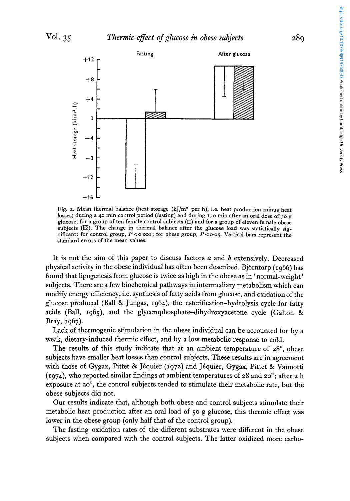

Fig. **2.** Mean thermal balance (heat storage (kJ/m2 per h), i.e. heat production minus heat losses) during a 40 min control period (fasting) and during 150 min after an oral dose of *50* g glucose, for **a** group of ten female control subjects *(0)* and for a group of eleven female obese subjects  $(\mathbb{Z})$ . The change in thermal balance after the glucose load was statistically significant: for control group, *P* < **0.001** ; for obese group, *P* < *0-05.* Vertical bars represent the standard errors of the mean values.

It is not the aim of this paper to discuss factors *a* and *b* extensively. Decreased physical activity in the obese individual has often been described. Björntorp (1966) has found that lipogenesis from glucose is twice as high in the obese as in ' normal-weight ' subjects. There are a few biochemical pathways in intermediary metabolism which can modify energy efficiency, i.e. synthesis of fatty acids from glucose, and oxidation of the glucose produced (Ball & Jungas, 1964), the esterification-hydrolysis cycle for fatty acids (Ball, I 965), and the **glycerophosphate-dihydroxyacetone** cycle (Galton & Bray, 1967).

Lack of thermogenic stimulation in the obese individual can be accounted for by a weak, dietary-induced thermic effect, and by a low metabolic response to cold.

The results of this study indicate that at an ambient temperature of 28°, obese subjects have smaller heat losses than control subjects. These results are in agreement with those of Gygax, Pittet & Jéquier (1972) and Jéquier, Gygax, Pittet & Vannotti (1974), who reported similar findings at ambient temperatures of 28 and 20'; after *2* h exposure at *20°,* the control subjects tended to stimulate their metabolic rate, but the obese subjects did not.

Our results indicate that, although both obese and control subjects stimulate their metabolic heat production after an oral load of *50* **g** glucose, this thermic effect was lower in the obese group (only half that of the control group).

The fasting oxidation rates of the different substrates were different in the obese subjects when compared with the control subjects. The latter oxidized more carbohttps://doi.org/10.1079/BJN19760033 Published online by Cambridge University Press https://doi.org/10.1079/BJN19760033 Published online by Cambridge University Press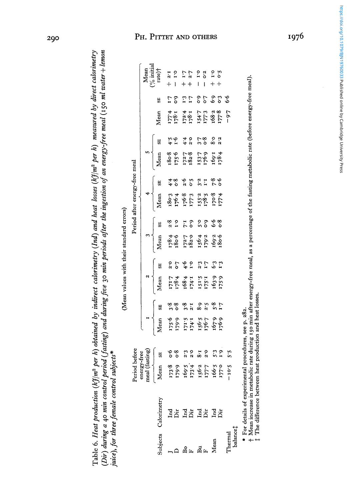**Table 6.** *Heat production (kJ/m2 per h) obtained by indirect calorimetry (Id) and heat losses (kJ/m2 per h) measured by direct calorimetry (Dir) during a* 40 *min control period (fasting) and during Jive 30 rnin periods after the ingestion of an energy-free meal* **(150** *ml water* + *lemon*  (Dir) during a 40 min control period (fasting) and during five 30 min periods after the ingestion of an energy-free meal (150 ml water + lemon Table 6. Heat production (k3/m<sup>2</sup> per h) obtained by indirect calorimetry (Ind) and heat losses (k3/m<sup>2</sup> per h) measured by direct calorimetry (Mean values with their standard errors) *juice*), for three female control subjects\* juice), for three female control subjects\*

(Mean values with their standard errors)

|                     |                      |                                                                                                                                                                                                                                                                                                     |                                                                                                                                                                                                                                                                                                   |  |                                                                                                                                                                                                                                                                                                                                                                              | Period after |                                                                                 | energy-free meal                           |                                                                                                                                                                                                                                                                               |    |                                                                                                  |               |                    |
|---------------------|----------------------|-----------------------------------------------------------------------------------------------------------------------------------------------------------------------------------------------------------------------------------------------------------------------------------------------------|---------------------------------------------------------------------------------------------------------------------------------------------------------------------------------------------------------------------------------------------------------------------------------------------------|--|------------------------------------------------------------------------------------------------------------------------------------------------------------------------------------------------------------------------------------------------------------------------------------------------------------------------------------------------------------------------------|--------------|---------------------------------------------------------------------------------|--------------------------------------------|-------------------------------------------------------------------------------------------------------------------------------------------------------------------------------------------------------------------------------------------------------------------------------|----|--------------------------------------------------------------------------------------------------|---------------|--------------------|
|                     |                      | Period before<br>energy-free<br>energy-free<br>meal (fasting)<br>Mean<br>$\frac{173.8}{273.6}$ or $\frac{6}{3}$<br>$\frac{179.9}{173.4}$ $\frac{273}{273}$<br>$\frac{273}{273}$<br>$\frac{273}{273}$<br>$\frac{273}{273}$<br>$\frac{273}{273}$<br>$\frac{273}{273}$<br>$\frac{273}{273}$<br>$\frac$ |                                                                                                                                                                                                                                                                                                   |  |                                                                                                                                                                                                                                                                                                                                                                              |              |                                                                                 |                                            |                                                                                                                                                                                                                                                                               |    |                                                                                                  |               | Mean<br>(% initial |
| ubjects             | $_{\rm Calorimetry}$ |                                                                                                                                                                                                                                                                                                     | Mean<br>Rean<br>$\frac{17556}{17576}$<br>$\frac{338}{356}$<br>$\frac{336}{356}$<br>$\frac{336}{356}$<br>$\frac{336}{356}$<br>$\frac{336}{356}$<br>$\frac{336}{356}$<br>$\frac{336}{356}$<br>$\frac{336}{356}$<br>$\frac{336}{356}$<br>$\frac{336}{356}$<br>$\frac{336}{356}$<br>$\frac{336}{356}$ |  | $\begin{tabular}{ c c c } \hline & 3 & \\ \hline \text{Mean} & \text{ss} & \\ \hline \text{Mean} & \text{ss} & \\ \text{178.4} & 2.8 & \\ \text{180.6} & 1.0 & \\ \text{182.7} & 7.1 & \\ \text{182.8} & 5.9 & \\ \text{199.2} & 5.9 & \\ \text{199.3} & 5.9 & \\ \text{199.2} & 0.9 & \\ \text{199.3} & 0.9 & \\ \text{199.4} & 0.9 & \\ \text{199.5} & 0.9 & \\ \text{199$ |              | $\overline{\text{Mean}}$                                                        | e)<br>V                                    | Mean                                                                                                                                                                                                                                                                          | 53 | Mean                                                                                             | e)<br>S       | $rate$ ) $\dagger$ |
|                     |                      |                                                                                                                                                                                                                                                                                                     |                                                                                                                                                                                                                                                                                                   |  |                                                                                                                                                                                                                                                                                                                                                                              |              |                                                                                 |                                            | $\begin{array}{cccc} 38.7 & 28.7 & 37.7 & 37.7 & 38.7 & 37.7 & 38.7 & 37.7 & 37.7 & 37.7 & 37.7 & 37.7 & 37.7 & 37.7 & 37.7 & 37.7 & 37.7 & 37.7 & 37.7 & 37.7 & 38.7 & 37.7 & 37.7 & 37.7 & 37.7 & 38.7 & 37.7 & 37.7 & 37.7 & 37.7 & 37.7 & 37.7 & 37.7 & 37.7 & 38.7 & 37$ |    | $2.61$<br>$2.80$<br>$2.60$<br>$2.60$<br>$2.61$<br>$2.61$<br>$2.61$<br>$2.61$<br>$2.61$<br>$2.61$ | 9.09.19.10.91 |                    |
|                     |                      |                                                                                                                                                                                                                                                                                                     |                                                                                                                                                                                                                                                                                                   |  |                                                                                                                                                                                                                                                                                                                                                                              |              |                                                                                 |                                            |                                                                                                                                                                                                                                                                               |    |                                                                                                  |               |                    |
|                     |                      |                                                                                                                                                                                                                                                                                                     |                                                                                                                                                                                                                                                                                                   |  |                                                                                                                                                                                                                                                                                                                                                                              |              | 1777<br>1967 - 1977<br>1987 - 1977<br>1987 - 1987<br>1992 - 1987<br>1992 - 1987 | 4 8 9 9 9 1 1 2 9 9<br>4 8 9 9 9 1 1 2 9 9 |                                                                                                                                                                                                                                                                               |    |                                                                                                  |               |                    |
|                     |                      |                                                                                                                                                                                                                                                                                                     |                                                                                                                                                                                                                                                                                                   |  |                                                                                                                                                                                                                                                                                                                                                                              |              |                                                                                 |                                            |                                                                                                                                                                                                                                                                               |    |                                                                                                  |               |                    |
|                     |                      |                                                                                                                                                                                                                                                                                                     |                                                                                                                                                                                                                                                                                                   |  |                                                                                                                                                                                                                                                                                                                                                                              |              |                                                                                 |                                            |                                                                                                                                                                                                                                                                               |    |                                                                                                  |               |                    |
|                     |                      |                                                                                                                                                                                                                                                                                                     |                                                                                                                                                                                                                                                                                                   |  |                                                                                                                                                                                                                                                                                                                                                                              |              |                                                                                 |                                            |                                                                                                                                                                                                                                                                               |    |                                                                                                  |               |                    |
| 요<br>도 명 다<br>기대    |                      |                                                                                                                                                                                                                                                                                                     |                                                                                                                                                                                                                                                                                                   |  |                                                                                                                                                                                                                                                                                                                                                                              |              |                                                                                 |                                            |                                                                                                                                                                                                                                                                               |    |                                                                                                  |               |                    |
|                     |                      |                                                                                                                                                                                                                                                                                                     |                                                                                                                                                                                                                                                                                                   |  |                                                                                                                                                                                                                                                                                                                                                                              |              |                                                                                 |                                            |                                                                                                                                                                                                                                                                               |    |                                                                                                  |               |                    |
| Thermal<br>balance‡ |                      |                                                                                                                                                                                                                                                                                                     |                                                                                                                                                                                                                                                                                                   |  |                                                                                                                                                                                                                                                                                                                                                                              |              |                                                                                 |                                            |                                                                                                                                                                                                                                                                               |    |                                                                                                  |               |                    |
|                     |                      |                                                                                                                                                                                                                                                                                                     |                                                                                                                                                                                                                                                                                                   |  |                                                                                                                                                                                                                                                                                                                                                                              |              |                                                                                 |                                            |                                                                                                                                                                                                                                                                               |    |                                                                                                  |               |                    |
|                     |                      |                                                                                                                                                                                                                                                                                                     |                                                                                                                                                                                                                                                                                                   |  |                                                                                                                                                                                                                                                                                                                                                                              |              |                                                                                 |                                            |                                                                                                                                                                                                                                                                               |    |                                                                                                  |               |                    |

\* For details of experimental procedures, see p. 282.

\* For details of experimental procedures, see p. 282.<br>† Mean increase in metabolic rate during 150 min after energy-free meal, as a percentage of the fasting metabolic rate (before energy-free meal).<br>‡ The difference betwe t Mean increase in metabolic rate during 150 min after energy-free meal, as a percentage of the fasting metabolic rate (before energy-free meal).<br>\$ The difference between heat production and heat losses.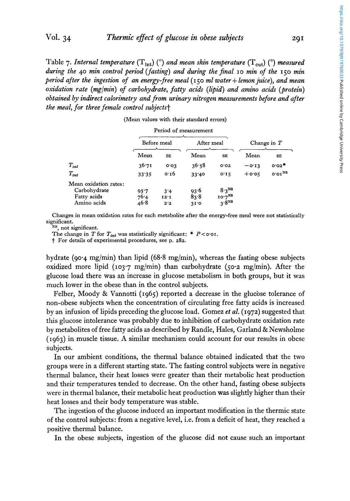Table 7. *Internal temperature*  $(T_{int})$  ( $\degree$ ) *and mean skin temperature*  $(T_{cut})$  ( $\degree$ ) *measured during the* **40** *min control period (fasting) and during the Jinal* 10 *min of the* **150** *min period after the ingestion of an energy-free meal* (150 *ml water* + *lemonjuice), and mean oxidation rate (mg/min) of carbohydrate, fatty acids (lipid) and amino acids (protein) obtained by indirect calorimetry and from urinary nitrogen measurements before and after the meal, for three female control subjectst* 

| tion rate (mg/min) of carbohydrate, fatty acids (lipid) and amino acids (prote<br>ed by indirect calorimetry and from urinary nitrogen measurements before and af<br>eal, for three female control subjects† |                      |                    |                                          |                                                |          |               |
|--------------------------------------------------------------------------------------------------------------------------------------------------------------------------------------------------------------|----------------------|--------------------|------------------------------------------|------------------------------------------------|----------|---------------|
|                                                                                                                                                                                                              |                      |                    | (Mean values with their standard errors) |                                                |          |               |
|                                                                                                                                                                                                              |                      |                    | Period of measurement                    |                                                |          |               |
|                                                                                                                                                                                                              |                      | Before meal        | After meal                               |                                                |          | Change in $T$ |
|                                                                                                                                                                                                              | Mean                 | <b>SE</b>          | Mean                                     | <b>SE</b>                                      | Mean     | SE            |
| $T_{int}$                                                                                                                                                                                                    | 36.71                | 0.03               | 36.58                                    | O.02                                           | $-0.13$  | o∙o2*         |
| $T_{cut}$                                                                                                                                                                                                    | 33.35                | 0.16               | 33.40                                    | 0.15                                           | $+$ 0.05 | $0.01^{NS}$   |
| Mean oxidation rates:<br>Carbohydrate<br>Fatty acids<br>Amino acids                                                                                                                                          | 95.7<br>76.4<br>46.8 | 3'4<br>12.1<br>2.2 | 93.6<br>83.8<br>31.0                     | $8.3^{NS}$<br>10.7 <sup>NB</sup><br>$3.8^{NS}$ |          |               |

|  | Period of measurement |
|--|-----------------------|
|--|-----------------------|

Changes in mean oxidation rates for each metabolite after the energy-free meal were not statistically significant.

**NS,** not significant.

The change in *T* for  $T_{int}$  was statistically significant: \*  $P < \text{o} \cdot \text{o}$ .

t For details of experimental procedures, see p. *z8z.* 

hydrate (90.4 mg/min) than lipid (68.8 mg/min), whereas the fasting obese subjects oxidized more lipid (103.7 mg/min) than carbohydrate (50.2 mg/min). After the glucose load there was an increase in glucose metabolism in both groups, but it was much lower in the obese than in the control subjects.

Felber, Moody & Vannotti (1965) reported a decrease in the glucbse tolerance of non-obese subjects when the concentration of circulating free fatty acids is increzsed by an infusion of lipids preceding the glucose load. Gomez *et al.* (1972) suggested that this glucose intolerance was probably due to inhibition of carbohydrate oxidation rate by metabolites of free fatty acids as described by Randle, Hales, Garland & Newsholme (1963) in muscle tissue. A similar mechanism could account for our results in obese subjects.

In our ambient conditions, the thermal balance obtained indicated that the two groups were in a different starting state. The fasting control subjects were in negative thermal balance, their heat losses were greater than their metabolic heat production and their temperatures tended to decrease. On the other hand, fasting obese subjects were in thermal balance, their metabolic heat production was slightly higher than their heat losses and their body temperature was stable.

The ingestion of the glucose induced an important modification in the thermic state of the control subjects: from a negative level, i.e. from a deficit of heat, they reached a positive thermal balance.

In the obese subjects, ingestion of the glucose did not cause such **an** important